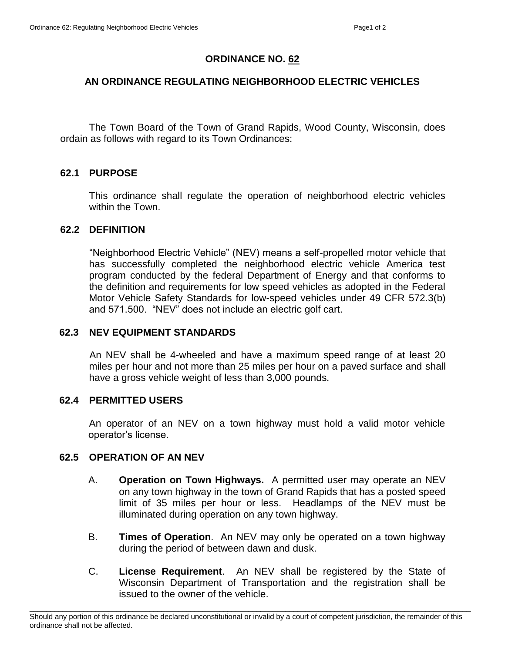# **ORDINANCE NO. 62**

## **AN ORDINANCE REGULATING NEIGHBORHOOD ELECTRIC VEHICLES**

The Town Board of the Town of Grand Rapids, Wood County, Wisconsin, does ordain as follows with regard to its Town Ordinances:

## **62.1 PURPOSE**

This ordinance shall regulate the operation of neighborhood electric vehicles within the Town.

#### **62.2 DEFINITION**

"Neighborhood Electric Vehicle" (NEV) means a self-propelled motor vehicle that has successfully completed the neighborhood electric vehicle America test program conducted by the federal Department of Energy and that conforms to the definition and requirements for low speed vehicles as adopted in the Federal Motor Vehicle Safety Standards for low-speed vehicles under 49 CFR 572.3(b) and 571.500. "NEV" does not include an electric golf cart.

## **62.3 NEV EQUIPMENT STANDARDS**

An NEV shall be 4-wheeled and have a maximum speed range of at least 20 miles per hour and not more than 25 miles per hour on a paved surface and shall have a gross vehicle weight of less than 3,000 pounds.

## **62.4 PERMITTED USERS**

An operator of an NEV on a town highway must hold a valid motor vehicle operator's license.

## **62.5 OPERATION OF AN NEV**

- A. **Operation on Town Highways.** A permitted user may operate an NEV on any town highway in the town of Grand Rapids that has a posted speed limit of 35 miles per hour or less. Headlamps of the NEV must be illuminated during operation on any town highway.
- B. **Times of Operation**. An NEV may only be operated on a town highway during the period of between dawn and dusk.
- C. **License Requirement**. An NEV shall be registered by the State of Wisconsin Department of Transportation and the registration shall be issued to the owner of the vehicle.

\_\_\_\_\_\_\_\_\_\_\_\_\_\_\_\_\_\_\_\_\_\_\_\_\_\_\_\_\_\_\_\_\_\_\_\_\_\_\_\_\_\_\_\_\_\_\_\_\_\_\_\_\_\_\_\_\_\_\_\_\_\_\_\_\_\_\_\_\_\_\_\_\_\_\_\_\_\_\_\_\_\_\_\_\_\_\_\_\_\_\_\_\_\_\_\_\_\_\_\_\_\_\_\_\_\_\_ Should any portion of this ordinance be declared unconstitutional or invalid by a court of competent jurisdiction, the remainder of this ordinance shall not be affected.